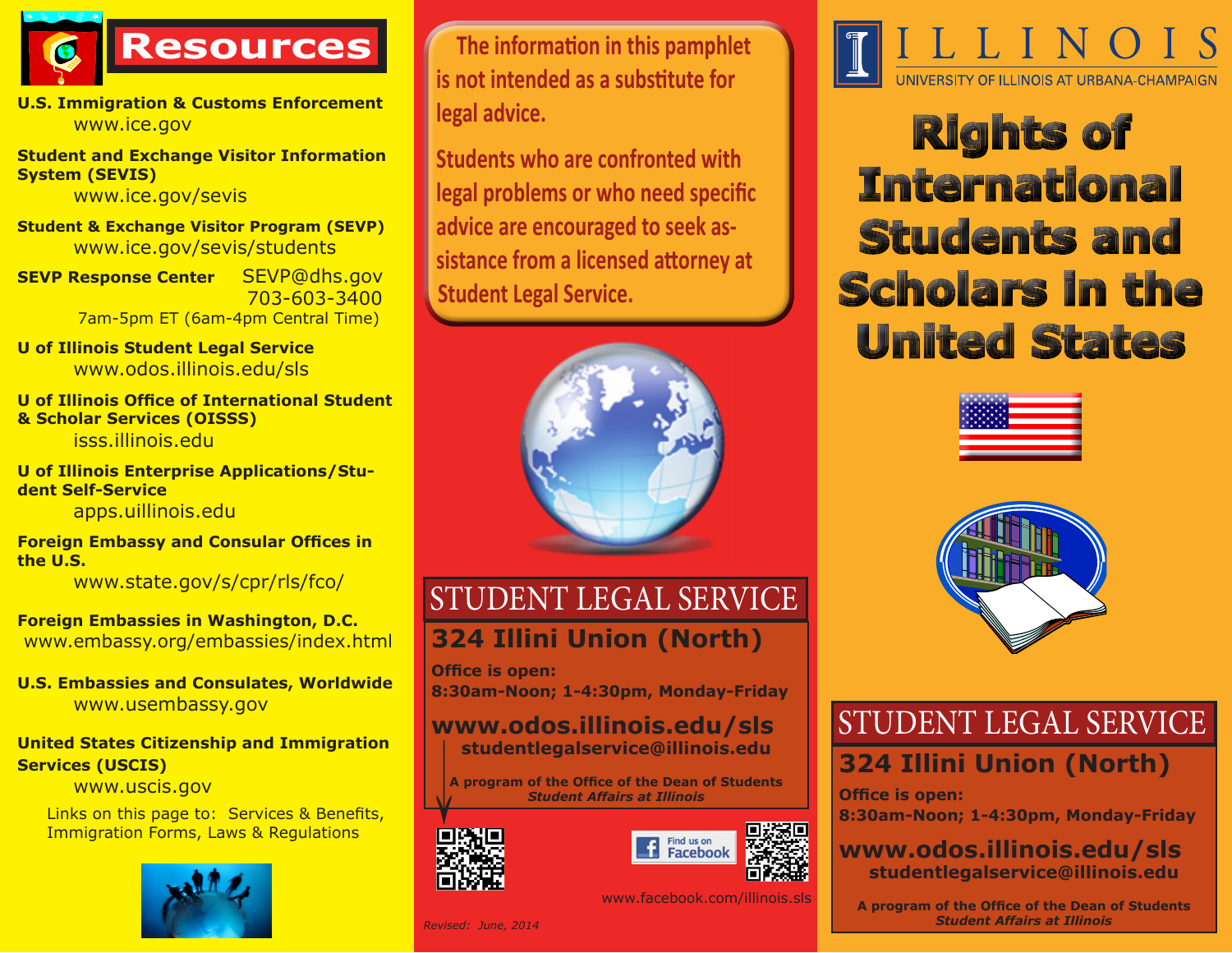

**U.S. Immigration & Customs Enforcement** www.ice.gov

**Student and Exchange Visitor Information System (SEVIS)** 

www.ice.gov/sevis

**Student & Exchange Visitor Program (SEVP)** www.ice.gov/sevis/students

**SEVP Response Center** SEVP@dhs.gov 703-603-3400 7am-5pm ET (6am-4pm Central Time)

**U of Illinois Student Legal Service** www.odos.illinois.edu/sls

**U of Illinois Office of International Student & Scholar Services (OISSS)** isss.illinois.edu

**U of Illinois Enterprise Applications/Student Self-Service** 

apps.uillinois.edu

**Foreign Embassy and Consular Offices in the U.S.**

www.state.gov/s/cpr/rls/fco/

**Foreign Embassies in Washington, D.C.** www.embassy.org/embassies/index.html

**U.S. Embassies and Consulates, Worldwide** www.usembassy.gov

#### **United States Citizenship and Immigration Services (USCIS)**

www.uscis.gov

Links on this page to: Services & Benefits, Immigration Forms, Laws & Regulations



**The information in this pamphlet is not intended as a substitute for legal advice.** 

**Students who are confronted with legal problems or who need specific advice are encouraged to seek assistance from a licensed attorney at Student Legal Service.**



## STUDENT LEGAL SERVICE **324 Illini Union (North)**

**Office is open: 8:30am-Noon; 1-4:30pm, Monday-Friday**

# **www.odos.illinois.edu/sls studentlegalservice@illinois.edu** →

**A program of the Office of the Dean of Students** *Student Affairs at Illinois*





www.facebook.com/illinois.sls

*Revised: June, 2014*



**Rights of International Students and Scholars in the United States** 





# STUDENT LEGAL SERVICE **324 Illini Union (North)**

**Office is open: 8:30am-Noon; 1-4:30pm, Monday-Friday**

## **www.odos.illinois.edu/sls studentlegalservice@illinois.edu**

**A program of the Office of the Dean of Students** *Student Affairs at Illinois*